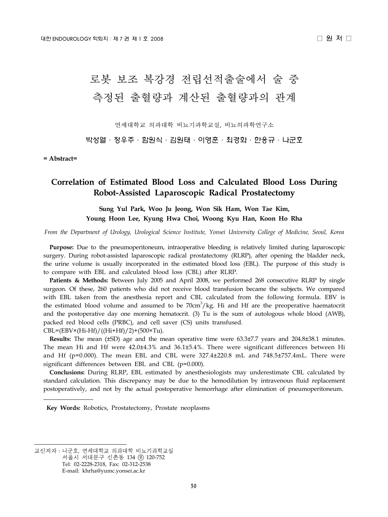# 로봇 보조 복강경 전립선적출술에서 술 중 측정된 출혈량과 계산된 출혈량과의 관계

연세대학교 의과대학 비뇨기과학교실, 비뇨의과학연구소

박성열·정우주·함원식·김원태·이영훈·최경화·한웅규·나군호

**= Abstract=**

## **Correlation of Estimated Blood Loss and Calculated Blood Loss During Robot-Assisted Laparoscopic Radical Prostatectomy**

**Sung Yul Park, Woo Ju Jeong, Won Sik Ham, Won Tae Kim, Young Hoon Lee, Kyung Hwa Choi, Woong Kyu Han, Koon Ho Rha**

*From the Department of Urology, Urological Science Institute, Yonsei University College of Medicine, Seoul, Korea*

 **Purpose:** Due to the pneumoperitoneum, intraoperative bleeding is relatively limited during laparoscopic surgery. During robot-assisted laparoscopic radical prostatectomy (RLRP), after opening the bladder neck, the urine volume is usually incorporated in the estimated blood loss (EBL). The purpose of this study is to compare with EBL and calculated blood loss (CBL) after RLRP.

 **Patients & Methods:** Between July 2005 and April 2008, we performed 268 consecutive RLRP by single surgeon. Of these, 260 patients who did not receive blood transfusion became the subjects. We compared with EBL taken from the anesthesia report and CBL calculated from the following formula. EBV is the estimated blood volume and assumed to be  $70 \text{cm}^3/\text{kg}$ . Hi and Hf are the preoperative haematocrit and the postoperative day one morning hematocrit. (3) Tu is the sum of autologous whole blood (AWB), packed red blood cells (PRBC), and cell saver (CS) units transfused.  $CBL = (EBV \times (Hi-Hf) / ((Hi+Hf)/2) + (500 \times Tu).$ 

 **Results:** The mean (±SD) age and the mean operative time were 63.3±7.7 years and 204.8±38.1 minutes. The mean Hi and Hf were 42.0±4.3% and 36.1±5.4%. There were significant differences between Hi and Hf ( $p=0.000$ ). The mean EBL and CBL were 327.4 $\pm$ 220.8 mL and 748.5 $\pm$ 757.4mL. There were significant differences between EBL and CBL (p=0.000).

 **Conclusions:** During RLRP, EBL estimated by anesthesiologists may underestimate CBL calculated by standard calculation. This discrepancy may be due to the hemodilution by intravenous fluid replacement postoperatively, and not by the actual postoperative hemorrhage after elimination of pneumoperitoneum.

 **Key Words:** Robotics, Prostatectomy, Prostate neoplasms

교신저자:나군호, 연세대학교 의과대학 비뇨기과학교실

서울시 서대문구 신촌동 134 우 120-752

Tel: 02-2228-2318, Fax: 02-312-2538

E-mail: khrha@yumc.yonsei.ac.kr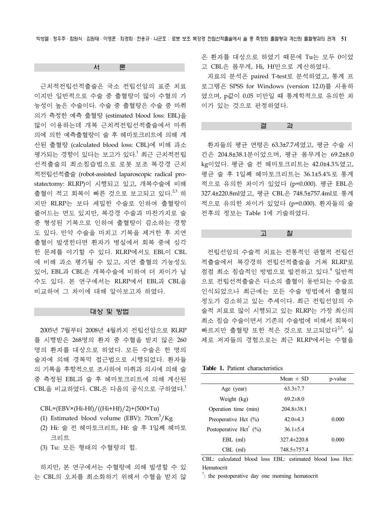서 론

 근치적전립선적출술은 국소 전립선암의 표준 치료 이지만 일반적으로 수술 중 출혈량이 많아 수혈의 가 능성이 높은 수술이다. 수술 중 출혈량은 수술 중 마취 의가 측정한 예측 출혈량 (estimated blood loss: EBL)을 많이 이용하는데 개복 근치적전립선적출술에서 마취 의에 의한 예측출혈량이 술 후 헤마토크리트에 의해 계 산된 출혈량 (calculated blood loss: CBL)에 비해 과소 평가되는 경향이 있다는 보고가 있다.<sup>1</sup> 최근 근치적전립 선적출술의 최소침습법으로 로봇 보조 복강경 근치 적전립선적출술 (robot-assisted laparoscopic radical prostatectomy: RLRP)이 시행되고 있고, 개복수술에 비해 출혈이 적고 회복이 빠른 것으로 보고되고 있다.<sup>2,3</sup> 하 지만 RLRP는 보다 세밀한 수술로 인하여 출혈량이 줄어드는 면도 있지만, 복강경 수술과 마찬가지로 술 중 형성된 기복으로 인하여 출혈량이 감소하는 경향 도 있다. 만약 수술을 마치고 기복을 제거한 후 지연 출혈이 발생한다면 환자가 병실에서 회복 중에 심각 한 문제를 야기할 수 있다. RLRP에서도 EBL이 CBL 에 비해 과소 평가될 수 있고, 지연 출혈의 가능성도 있어, EBL과 CBL은 개복수술에 비하여 더 차이가 날 수도 있다. 본 연구에서는 RLRP에서 EBL과 CBL을 비교하여 그 차이에 대해 알아보고자 하였다.

#### 대상 및 방법

 2005년 7월부터 2008년 4월까지 전립선암으로 RLRP 를 시행받은 268명의 환자 중 수혈을 받지 않은 260 명의 환자를 대상으로 하였다. 모든 수술은 한 명의 술자에 의해 경복막 접근법으로 시행되었다. 환자들 의 기록을 후향적으로 조사하여 마취과 의사에 의해 술 중 측정된 EBL과 술 후 헤마토크리트에 의해 계산된 CBL을 비교하였다. CBL은 다음의 공식으로 구하였다. 1

 $CBL = (EBV \times (Hi-Hf) / ((Hi+Hf)/2) + (500 \times Tu)$ 

(1) Estimated blood volume (EBV):  $70 \text{cm}^3/\text{Kg}$ 

- (2) Hi: 술 전 헤마토크리트, Hf: 술 후 1일째 헤마토 크리트
- (3) Tu: 모든 형태의 수혈량의 합.

 하지만, 본 연구에서는 수혈량에 의해 발생할 수 있 는 CBL의 오차를 최소화하기 위해서 수혈을 받지 않 은 환자를 대상으로 하였기 때문에 Tu는 모두 0이었 고 CBL은 몸무게, Hi, Hf만으로 계산하였다.

 자료의 분석은 paired T-test로 분석하였고, 통계 프 로그램은 SPSS for Windows (version 12.0)를 사용하 였으며, p값이 0.05 미만일 때 통계학적으로 유의한 차 이가 있는 것으로 판정하였다.

#### 결 과

 환자들의 평균 연령은 63.3±7.7세였고, 평균 수술 시 간은 204.8±38.1분이었으며, 평균 몸무게는 69.2±8.0 kg이었다. 평균 술 전 헤마토크리트는 42.0±4.3%였고, 평균 술 후 1일째 헤마토크리트는 36.1±5.4%로 통계 적으로 유의한 차이가 있었다 (p=0.000). 평균 EBL은 327.4±220.8ml였고, 평균 CBL은 748.5±757.4ml로 통계 적으로 유의한 차이가 있었다 (p=0.000). 환자들의 술 전후의 정보는 Table 1에 기술하였다.

고 찰

 전립선암의 수술적 치료는 전통적인 관혈적 전립선 적출술에서 복강경하 전립선적출술을 거쳐 RLRP로 점점 최소 침습적인 방법으로 발전하고 있다. <sup>4</sup> 일반적 으로 전립선적출술은 다소의 출혈이 동반되는 수술로 인식되었으나 최근에는 모든 수술 방법에서 출혈의 정도가 감소하고 있는 추세이다. 최근 전립선암의 수 술적 치료로 많이 시행되고 있는 RLRP는 가장 최신의 최소 침습 수술이면서 기존의 수술법에 비해서 회복이 빠르지만 출혈량 또한 적은 것으로 보고되었다<sup>2,3</sup>. 실 제로 저자들의 경험으로는 최근 RLRP에서는 수혈을

**Table 1.** Patient characteristics

|                                        | Mean $\pm$ SD     | p-value |
|----------------------------------------|-------------------|---------|
| Age (year)                             | $63.3 \pm 7.7$    |         |
| Weight (kg)                            | $69.2 \pm 8.0$    |         |
| Operation time (min)                   | $204.8 \pm 38.1$  |         |
| Preoperative Hct $(\% )$               | $42.0 \pm 4.3$    | 0.000   |
| Postoperative Hct <sup>†</sup> $(\% )$ | $36.1 \pm 5.4$    |         |
| EBL (ml)                               | $327.4 \pm 220.8$ | 0.000   |
| CBL (ml)                               | 748.5±757.4       |         |

CBL: calculated blood loss EBL: estimated blood loss Hct: Hematocrit

<sup>†</sup>: the postoperative day one morning hematocrit